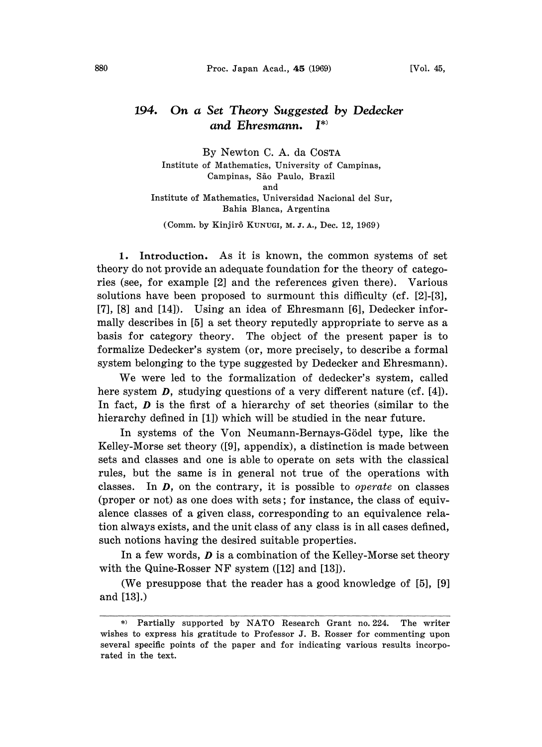## 194. On a Set Theory Suggested by Dedecker and Ehresmann. I\*

By Newton C. A. da COSTA Institute of Mathematics, University of Campinas, Campinas, São Paulo, Brazil and Institute of Mathematics, Universidad Nacional del Sur, Bahia Blanca, Argentina

(Comm. by Kinjirô KUNUGI, M. J. A., Dec. 12, 1969)

1. Introduction. As it is known, the common systems of set theory do not provide an adequate foundation for the theory of categories (see, for example [2] and the references given there). Various solutions have been proposed to surmount this difficulty (cf. [2]-[3], [7], [8] and [14]). Using an idea of Ehresmann [6], Dedecker informally describes in [5] a set theory reputedly appropriate to serve as a basis for category theory. The object of the present paper is to formalize Dedecker's system (or, more precisely, to describe a formal system belonging to the type suggested by Dedecker and Ehresmann).

We were led to the formalization of dedecker's system, called here system  $\bm{D}$ , studying questions of a very different nature (cf. [4]). In fact,  $\bm{D}$  is the first of a hierarchy of set theories (similar to the hierarchy defined in [1]) which will be studied in the near future.

In systems of the Von Neumann-Bernays-Gödel type, like the Kelley-Morse set theory ([9], appendix), a distinction is made between sets and classes and one is able to operate on sets with the classical rules, but the same is in general not true of the operations with classes. In  $D$ , on the contrary, it is possible to *operate* on classes (proper or not) as one does with sets; for instance, the class of equivalence classes of a given class, corresponding to an equivalence relation always exists, and the unit class of any class is in all cases defined, such notions having the desired suitable properties.

In a few words,  $D$  is a combination of the Kelley-Morse set theory with the Quine-Rosser NF system ([12] and [13]).

(We presuppose that the reader has a good knowledge of [5], [9] and [13].)

<sup>\*)</sup> Partially supported by NATO Research Grant no. 224. The writer wishes to express his gratitude to Professor J. B. Rosser for commenting upon several specific points of the paper and for indicating various results incorporated in the text.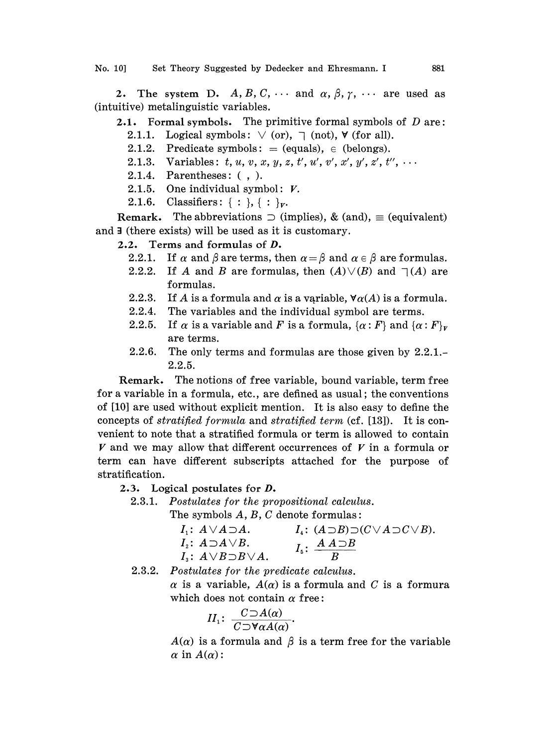2. The system D. A, B, C,  $\cdots$  and  $\alpha$ ,  $\beta$ ,  $\gamma$ ,  $\cdots$  are used as (intuitive) metalinguistie variables.

- **2.1.** Formal symbols. The primitive formal symbols of  $D$  are: 2.1.1. Logical symbols:  $\vee$  (or),  $\neg$  (not),  $\neg$  (for all).
	- 2.1.2. Predicate symbols:  $=$  (equals),  $\in$  (belongs).
	- $\top$  (not),  $\forall$  (for all).<br>
	uals),  $\in$  (belongs).<br>  $t', u', v', x', y', z', t''$ 2.1.3. Variables:  $t, u, v, x, y, z, t', u', v', x', y', z', t'',$
	- 2.1.4. Parentheses: (, ).
	- 2.1.5. One individual symbol:  $V$ .
	- 2.1.6. Classifiers:  $\{ : \}$ ,  $\{ : \}_V$ .

**Remark.** The abbreviations  $\supset$  (implies), & (and),  $\equiv$  (equivalent) and  $\exists$  (there exists) will be used as it is customary.

2.2. Terms and formulas of  $D$ .

- 2.2.1. If  $\alpha$  and  $\beta$  are terms, then  $\alpha = \beta$  and  $\alpha \in \beta$  are formulas.
- 2.2.2. If A and B are formulas, then  $(A) \vee (B)$  and  $\neg(A)$  are formulas.
- 2.2.3. If A is a formula and  $\alpha$  is a variable,  $\forall \alpha(A)$  is a formula.
- 2.2.4. The variables and the individual symbol are terms.
- 2.2.5. If  $\alpha$  is a variable and F is a formula,  $\{\alpha : F\}$  and  $\{\alpha : F\}_v$ are terms.
- 2.2.6. The only terms and formulas are those given by 2.2.1.- 2.2.5.

Remark. The notions of free variable, bound variable, term free for a variable in a formula, etc., are defined as usual; the conventions of [10] are used without explicit mention. It is also easy to define the concepts of stratified formula and stratified term (cf. [13]). It is convenient to note that a stratified formula or term is allowed to contain  $V$  and we may allow that different occurrences of  $V$  in a formula or term can have different subscripts attached for the purpose of stratification.

## 2.3. Logical postulates for D.

2.3.1. Postulates for the propositional calculus.

The symbols A, B, C denote formulas:

| $I_1: A \vee A \supset A$ .         | $I_4: (A \supset B) \supset (C \vee A \supset C \vee B).$     |
|-------------------------------------|---------------------------------------------------------------|
| $I_{\circ}: A \supset A \vee B.$    | $I_{\scriptscriptstyle{5}}$ : $\frac{A A \supset B}{\supset}$ |
| $I_{3}: A \vee B \supset B \vee A.$ |                                                               |

2.3.2. Postulates for the predicate calculus.

 $\alpha$  is a variable,  $A(\alpha)$  is a formula and C is a formura which does not contain  $\alpha$  free:

$$
II_1: \ \frac{C \supset A(\alpha)}{C \supset \forall \alpha A(\alpha)}.
$$

 $A(\alpha)$  is a formula and  $\beta$  is a term free for the variable  $\alpha$  in  $A(\alpha)$ :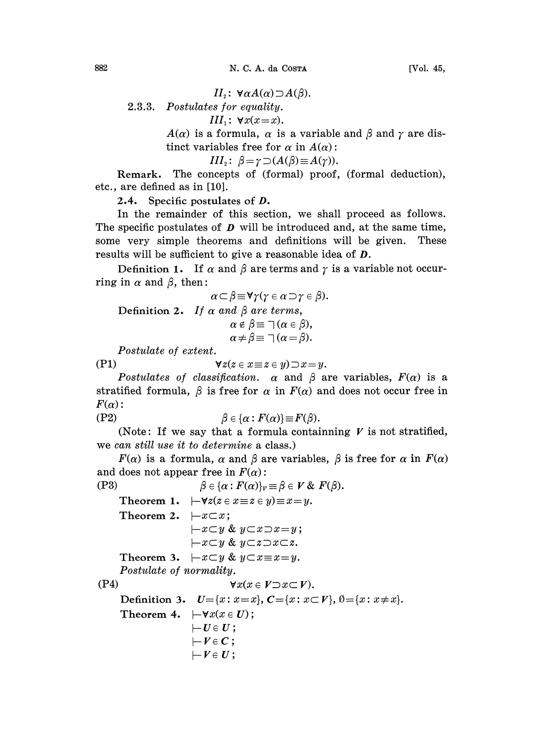$II_2$ :  $\forall \alpha A(\alpha) \supset A(\beta)$ . 2.3.3. Postulates for equality. III<sub>1</sub>:  $\forall x(x=x)$ .  $A(\alpha)$  is a formula,  $\alpha$  is a variable and  $\beta$  and  $\gamma$  are distinct variables free for  $\alpha$  in  $A(\alpha)$ :<br> $III_2$ :  $\beta = \gamma \supset (A(\beta) \equiv A(\gamma))$ .<br>The concents of (formal) proof (formal deduction) tinct variables free for  $\alpha$  in  $A(\alpha)$ :

III<sub>2</sub>:  $\beta = \gamma \supset (A(\beta) \equiv A(\gamma)).$ 

Remark. The concepts of (formal) proof, (formal deduction), etc., are defined as in [10].

2.4. Specific postulates of D.

In the remainder of this section, we shall proceed as follows. The specific postulates of  $D$  will be introduced and, at the same time, some very simple theorems and definitions will be given. These results will be sufficient to give a reasonable idea of **D**.

Definition 1. If  $\alpha$  and  $\beta$  are terms and  $\gamma$  is a variable not occurring in  $\alpha$  and  $\beta$ , then:

$$
\alpha \subset \beta \equiv \forall \gamma (\gamma \in \alpha \supset \gamma \in \beta).
$$
  
Definition 2. If  $\alpha$  and  $\beta$  are terms,  
 $\alpha \in \beta \equiv \neg (\alpha \in \beta),$   
 $\alpha \neq \beta \equiv \neg (\alpha = \beta).$ 

Postulate of extent.

(P1)  $\forall z(z \in x \equiv z \in y) \supset x = y.$ 

Postulates of classification.  $\alpha$  and  $\beta$  are variables,  $F(\alpha)$  is a stratified formula,  $\beta$  is free for  $\alpha$  in  $F(\alpha)$  and does not occur free in  $F(\alpha)$ :

$$
\beta \in \{\alpha : F(\alpha)\}\!\equiv\!F(\beta).
$$

(Note: If we say that a formula containning  $V$  is not stratified, we can still use it to determine a class.)

 $F(\alpha)$  is a formula,  $\alpha$  and  $\beta$  are variables,  $\beta$  is free for  $\alpha$  in  $F(\alpha)$ and does not appear free in  $F(\alpha)$ :

```
(P3) \beta \in {\{\alpha : F(\alpha)\}}_V \equiv \beta \in V \& F(\beta).Theorem 1. \vdash \forall z (z \in x \equiv z \in y) \equiv x \equiv y.Theorem 2. -x \subset x;
                                 -x \subset y \& y \subset x \supset x=y;-x \subset y \& y \subset z \supset x \subset z.Theorem 3. -x \subset y \& y \subset x \equiv x = y.
        Postulate of normality.
(P4) \forall x(x \in V \supset x \subset V).Definition 3. U = \{x : x = x\}, C = \{x : x \subset V\}, \emptyset = \{x : x \neq x\}.
        Theorem 4. \vdash\forall x(x\in U);
                                 \begin{array}{l} \leftarrow \boldsymbol{U} \in \boldsymbol{U} \, ; \ \leftarrow \boldsymbol{V} \in \boldsymbol{C} \, ; \end{array}\vdash V \in U;
```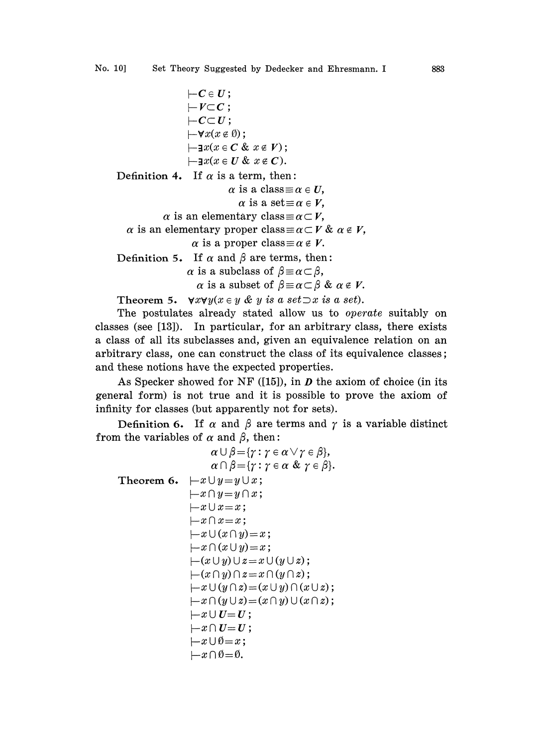```
\mathbf{-C} \in \mathbf{U};
                            |-V \subset C;
                            |-C\mathbb{C}U;\vdash\forall x(x \notin \emptyset);\vdash\exists x(x\in\mathbf{C}\ \&\ x\notin\mathbf{V});\vdash \exists x(x \in U \& x \notin C).Definition 4. If \alpha is a term, then:
```
 $\alpha$  is a class  $\equiv \alpha \in U$ ,

 $\alpha$  is a set  $\equiv \alpha \in V$ ,

 $\alpha$  is an elementary class  $\equiv \alpha \subset V$ ,

 $\alpha$  is an elementary proper class  $\equiv \alpha \subset V \& \alpha \in V$ ,

 $\alpha$  is a proper class  $\equiv \alpha \notin V$ .

Definition 5. If  $\alpha$  and  $\beta$  are terms, then:

 $\alpha$  is a subclass of  $\beta \equiv \alpha \subset \beta$ ,

 $\alpha$  is a subset of  $\beta \equiv \alpha \subset \beta$  &  $\alpha \notin V$ .

Theorem 5.  $\forall x \forall y (x \in y \& y \text{ is a set} \exists x \text{ is a set}).$ 

The postulates already stated allow us to operate suitably on classes (see [13]). In particular, for an arbitrary class, there exists a class of all its subclasses and, given an equivalence relation on an arbitrary class, one can construct the class of its equivalence classes; and these notions have the expected properties.

As Specker showed for NF ([15]), in  $D$  the axiom of choice (in its general form) is not true and it is possible to prove the axiom of infinity for classes (but apparently not for sets).

Definition 6. If  $\alpha$  and  $\beta$  are terms and  $\gamma$  is a variable distinct from the variables of  $\alpha$  and  $\beta$ , then:

 $\alpha \cup \beta = \{ \gamma : \gamma \in \alpha \vee \gamma \in \beta \},\$  $\alpha \cap \beta = \{ \gamma : \gamma \in \alpha \& \gamma \in \beta \}.$ Theorem 6.  $-x \cup y = y \cup x$ ;  $-x \cap y = y \cap x;$  $-x \cup x = x;$  $-x \cap x = x;$  $-x\cup(x\cap y)=x;$  $-x\cap(x\cup y)=x;$  $\vdash(x \cup y) \cup z = x \cup (y \cup z);$  $\vdash(x\cap y)\cap z=x\cap(y\cap z);$  $-x \cup (y \cap z) = (x \cup y) \cap (x \cup z);$  $-x\cap (y\cup z)=(x\cap y)\cup (x\cap z);$  $-x\cup U=U;$  $\left\vert -x\cap U\right\vert =U;$  $-x\cup\emptyset=x;$  $-x\cap\emptyset=\emptyset.$